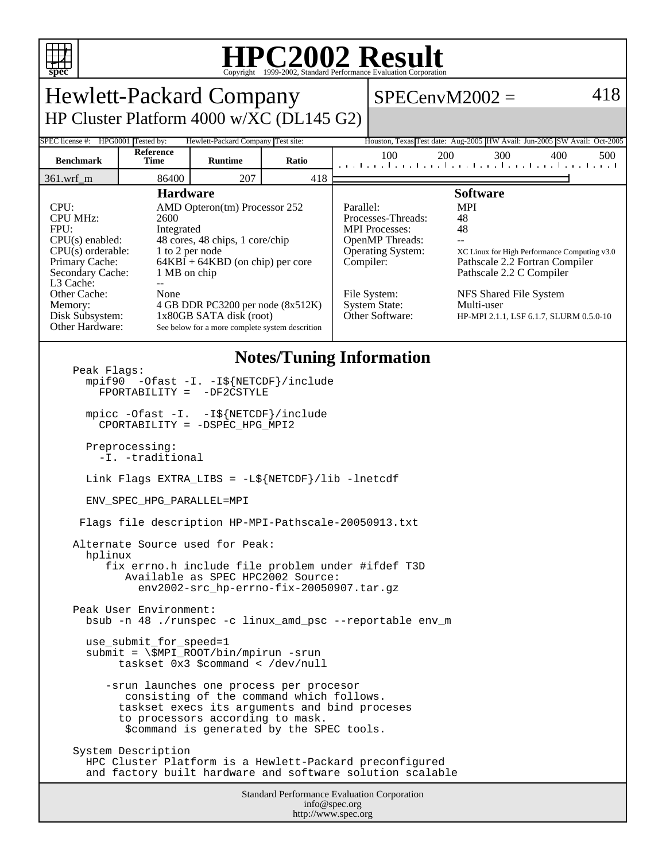

## **HPC2002 Result**

| <b>Hewlett-Packard Company</b>                                                                                                                                                                                        |                                                                                                                                                                                                                                                                                                                                                                |                                    |       |  |                                                                                                                                                                                                                                                                                                                                                                                                                 | $SPECenvM2002 =$                                            | 418        |
|-----------------------------------------------------------------------------------------------------------------------------------------------------------------------------------------------------------------------|----------------------------------------------------------------------------------------------------------------------------------------------------------------------------------------------------------------------------------------------------------------------------------------------------------------------------------------------------------------|------------------------------------|-------|--|-----------------------------------------------------------------------------------------------------------------------------------------------------------------------------------------------------------------------------------------------------------------------------------------------------------------------------------------------------------------------------------------------------------------|-------------------------------------------------------------|------------|
| HP Cluster Platform 4000 w/XC (DL145 G2)                                                                                                                                                                              |                                                                                                                                                                                                                                                                                                                                                                |                                    |       |  |                                                                                                                                                                                                                                                                                                                                                                                                                 |                                                             |            |
| SPEC license #: HPG0001 Tested by:                                                                                                                                                                                    |                                                                                                                                                                                                                                                                                                                                                                | Hewlett-Packard Company Test site: |       |  | Houston, Texas Test date: Aug-2005 HW Avail: Jun-2005 SW Avail: Oct-2005                                                                                                                                                                                                                                                                                                                                        |                                                             |            |
| <b>Benchmark</b>                                                                                                                                                                                                      | Reference<br>Time                                                                                                                                                                                                                                                                                                                                              | <b>Runtime</b>                     | Ratio |  | 100                                                                                                                                                                                                                                                                                                                                                                                                             | 200<br>300<br>المتما بتطاعينا بتطعيما بتطعيما بتماعينا ببار | 400<br>500 |
| 361.wrf_m                                                                                                                                                                                                             | 86400                                                                                                                                                                                                                                                                                                                                                          | 207                                | 418   |  |                                                                                                                                                                                                                                                                                                                                                                                                                 |                                                             |            |
| CPU:<br><b>CPU MHz:</b><br>FPU:<br>$CPU(s)$ enabled:<br>Primary Cache:<br>L3 Cache:<br>Other Cache:<br>Memory:<br>Disk Subsystem:<br>Other Hardware:                                                                  | <b>Hardware</b><br>AMD Opteron(tm) Processor 252<br>2600<br>Integrated<br>48 cores, 48 chips, 1 core/chip<br>$CPU(s)$ orderable:<br>1 to 2 per node<br>$64KBI + 64KBD$ (on chip) per core<br>Secondary Cache:<br>1 MB on chip<br>÷÷<br>None<br>4 GB DDR PC3200 per node (8x512K)<br>1x80GB SATA disk (root)<br>See below for a more complete system descrition |                                    |       |  | <b>Software</b><br><b>MPI</b><br>Parallel:<br>Processes-Threads:<br>48<br><b>MPI</b> Processes:<br>48<br>OpenMP Threads:<br>Operating System:<br>XC Linux for High Performance Computing v3.0<br>Compiler:<br>Pathscale 2.2 Fortran Compiler<br>Pathscale 2.2 C Compiler<br>File System:<br>NFS Shared File System<br>System State:<br>Multi-user<br>Other Software:<br>HP-MPI 2.1.1, LSF 6.1.7, SLURM 0.5.0-10 |                                                             |            |
| <b>Notes/Tuning Information</b><br>Peak Flags:<br>mpif90 -Ofast -I. -I\${NETCDF}/include<br>-DF2CSTYLE<br>$FPORTABILITY =$<br>mpicc -Ofast -I. -I\${NETCDF}/include                                                   |                                                                                                                                                                                                                                                                                                                                                                |                                    |       |  |                                                                                                                                                                                                                                                                                                                                                                                                                 |                                                             |            |
| CPORTABILITY = -DSPEC_HPG_MPI2<br>Preprocessing:                                                                                                                                                                      |                                                                                                                                                                                                                                                                                                                                                                |                                    |       |  |                                                                                                                                                                                                                                                                                                                                                                                                                 |                                                             |            |
| -I. -traditional                                                                                                                                                                                                      |                                                                                                                                                                                                                                                                                                                                                                |                                    |       |  |                                                                                                                                                                                                                                                                                                                                                                                                                 |                                                             |            |
| Link Flags EXTRA_LIBS = $-L\$ {NETCDF}/lib -lnetcdf                                                                                                                                                                   |                                                                                                                                                                                                                                                                                                                                                                |                                    |       |  |                                                                                                                                                                                                                                                                                                                                                                                                                 |                                                             |            |
| ENV SPEC HPG PARALLEL=MPI                                                                                                                                                                                             |                                                                                                                                                                                                                                                                                                                                                                |                                    |       |  |                                                                                                                                                                                                                                                                                                                                                                                                                 |                                                             |            |
| Flags file description HP-MPI-Pathscale-20050913.txt                                                                                                                                                                  |                                                                                                                                                                                                                                                                                                                                                                |                                    |       |  |                                                                                                                                                                                                                                                                                                                                                                                                                 |                                                             |            |
| Alternate Source used for Peak:<br>hplinux<br>fix errno.h include file problem under #ifdef T3D<br>Available as SPEC HPC2002 Source:<br>env2002-src hp-errno-fix-20050907.tar.qz                                      |                                                                                                                                                                                                                                                                                                                                                                |                                    |       |  |                                                                                                                                                                                                                                                                                                                                                                                                                 |                                                             |            |
| Peak User Environment:<br>bsub -n 48 ./runspec -c linux_amd_psc --reportable env_m                                                                                                                                    |                                                                                                                                                                                                                                                                                                                                                                |                                    |       |  |                                                                                                                                                                                                                                                                                                                                                                                                                 |                                                             |            |
| use_submit_for_speed=1<br>$submit = \$MPI_ROOT/bin/mpirun -srun$<br>taskset $0x3$ \$command < /dev/null                                                                                                               |                                                                                                                                                                                                                                                                                                                                                                |                                    |       |  |                                                                                                                                                                                                                                                                                                                                                                                                                 |                                                             |            |
| -srun launches one process per procesor<br>consisting of the command which follows.<br>taskset execs its arguments and bind proceses<br>to processors according to mask.<br>\$command is generated by the SPEC tools. |                                                                                                                                                                                                                                                                                                                                                                |                                    |       |  |                                                                                                                                                                                                                                                                                                                                                                                                                 |                                                             |            |
| System Description<br>HPC Cluster Platform is a Hewlett-Packard preconfigured<br>and factory built hardware and software solution scalable                                                                            |                                                                                                                                                                                                                                                                                                                                                                |                                    |       |  |                                                                                                                                                                                                                                                                                                                                                                                                                 |                                                             |            |
| Standard Performance Evaluation Corporation<br>info@spec.org                                                                                                                                                          |                                                                                                                                                                                                                                                                                                                                                                |                                    |       |  |                                                                                                                                                                                                                                                                                                                                                                                                                 |                                                             |            |

http://www.spec.org